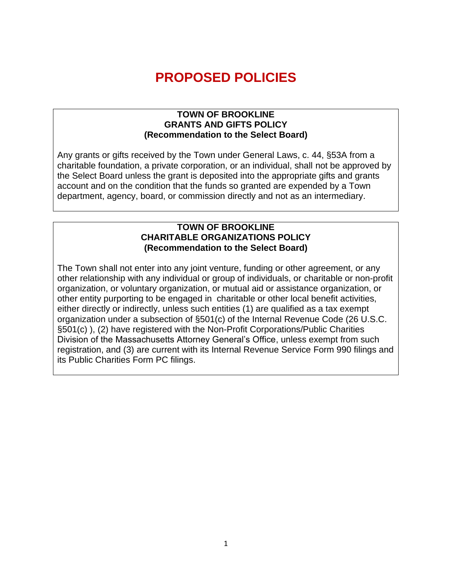# **PROPOSED POLICIES**

#### **TOWN OF BROOKLINE GRANTS AND GIFTS POLICY (Recommendation to the Select Board)**

Any grants or gifts received by the Town under General Laws, c. 44, §53A from a charitable foundation, a private corporation, or an individual, shall not be approved by the Select Board unless the grant is deposited into the appropriate gifts and grants account and on the condition that the funds so granted are expended by a Town department, agency, board, or commission directly and not as an intermediary.

#### **TOWN OF BROOKLINE CHARITABLE ORGANIZATIONS POLICY (Recommendation to the Select Board)**

The Town shall not enter into any joint venture, funding or other agreement, or any other relationship with any individual or group of individuals, or charitable or non-profit organization, or voluntary organization, or mutual aid or assistance organization, or other entity purporting to be engaged in charitable or other local benefit activities, either directly or indirectly, unless such entities (1) are qualified as a tax exempt organization under a subsection of §501(c) of the Internal Revenue Code (26 U.S.C. §501(c) ), (2) have registered with the Non-Profit Corporations/Public Charities Division of the Massachusetts Attorney General's Office, unless exempt from such registration, and (3) are current with its Internal Revenue Service Form 990 filings and its Public Charities Form PC filings.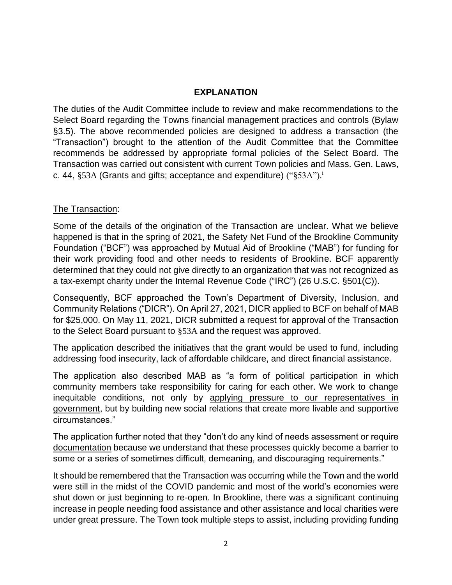## **EXPLANATION**

The duties of the Audit Committee include to review and make recommendations to the Select Board regarding the Towns financial management practices and controls (Bylaw §3.5). The above recommended policies are designed to address a transaction (the "Transaction") brought to the attention of the Audit Committee that the Committee recommends be addressed by appropriate formal policies of the Select Board. The Transaction was carried out consistent with current Town policies and Mass. Gen. Laws, c. 44,  $\S 53A$  (Grants and gifts; acceptance and expenditure) (" $\S 53A$ ").<sup>i</sup>

# The Transaction:

Some of the details of the origination of the Transaction are unclear. What we believe happened is that in the spring of 2021, the Safety Net Fund of the Brookline Community Foundation ("BCF") was approached by Mutual Aid of Brookline ("MAB") for funding for their work providing food and other needs to residents of Brookline. BCF apparently determined that they could not give directly to an organization that was not recognized as a tax-exempt charity under the Internal Revenue Code ("IRC") (26 U.S.C. §501(C)).

Consequently, BCF approached the Town's Department of Diversity, Inclusion, and Community Relations ("DICR"). On April 27, 2021, DICR applied to BCF on behalf of MAB for \$25,000. On May 11, 2021, DICR submitted a request for approval of the Transaction to the Select Board pursuant to §53A and the request was approved.

The application described the initiatives that the grant would be used to fund, including addressing food insecurity, lack of affordable childcare, and direct financial assistance.

The application also described MAB as "a form of political participation in which community members take responsibility for caring for each other. We work to change inequitable conditions, not only by applying pressure to our representatives in government, but by building new social relations that create more livable and supportive circumstances."

The application further noted that they "don't do any kind of needs assessment or require documentation because we understand that these processes quickly become a barrier to some or a series of sometimes difficult, demeaning, and discouraging requirements."

It should be remembered that the Transaction was occurring while the Town and the world were still in the midst of the COVID pandemic and most of the world's economies were shut down or just beginning to re-open. In Brookline, there was a significant continuing increase in people needing food assistance and other assistance and local charities were under great pressure. The Town took multiple steps to assist, including providing funding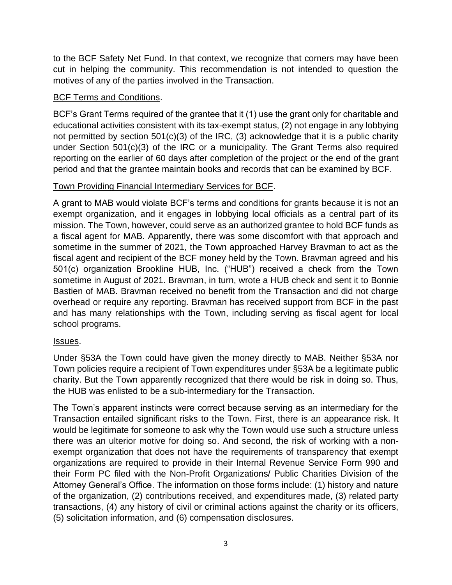to the BCF Safety Net Fund. In that context, we recognize that corners may have been cut in helping the community. This recommendation is not intended to question the motives of any of the parties involved in the Transaction.

# BCF Terms and Conditions.

BCF's Grant Terms required of the grantee that it (1) use the grant only for charitable and educational activities consistent with its tax-exempt status, (2) not engage in any lobbying not permitted by section 501(c)(3) of the IRC, (3) acknowledge that it is a public charity under Section 501(c)(3) of the IRC or a municipality. The Grant Terms also required reporting on the earlier of 60 days after completion of the project or the end of the grant period and that the grantee maintain books and records that can be examined by BCF.

# Town Providing Financial Intermediary Services for BCF.

A grant to MAB would violate BCF's terms and conditions for grants because it is not an exempt organization, and it engages in lobbying local officials as a central part of its mission. The Town, however, could serve as an authorized grantee to hold BCF funds as a fiscal agent for MAB. Apparently, there was some discomfort with that approach and sometime in the summer of 2021, the Town approached Harvey Bravman to act as the fiscal agent and recipient of the BCF money held by the Town. Bravman agreed and his 501(c) organization Brookline HUB, Inc. ("HUB") received a check from the Town sometime in August of 2021. Bravman, in turn, wrote a HUB check and sent it to Bonnie Bastien of MAB. Bravman received no benefit from the Transaction and did not charge overhead or require any reporting. Bravman has received support from BCF in the past and has many relationships with the Town, including serving as fiscal agent for local school programs.

### Issues.

Under §53A the Town could have given the money directly to MAB. Neither §53A nor Town policies require a recipient of Town expenditures under §53A be a legitimate public charity. But the Town apparently recognized that there would be risk in doing so. Thus, the HUB was enlisted to be a sub-intermediary for the Transaction.

The Town's apparent instincts were correct because serving as an intermediary for the Transaction entailed significant risks to the Town. First, there is an appearance risk. It would be legitimate for someone to ask why the Town would use such a structure unless there was an ulterior motive for doing so. And second, the risk of working with a nonexempt organization that does not have the requirements of transparency that exempt organizations are required to provide in their Internal Revenue Service Form 990 and their Form PC filed with the Non-Profit Organizations/ Public Charities Division of the Attorney General's Office. The information on those forms include: (1) history and nature of the organization, (2) contributions received, and expenditures made, (3) related party transactions, (4) any history of civil or criminal actions against the charity or its officers, (5) solicitation information, and (6) compensation disclosures.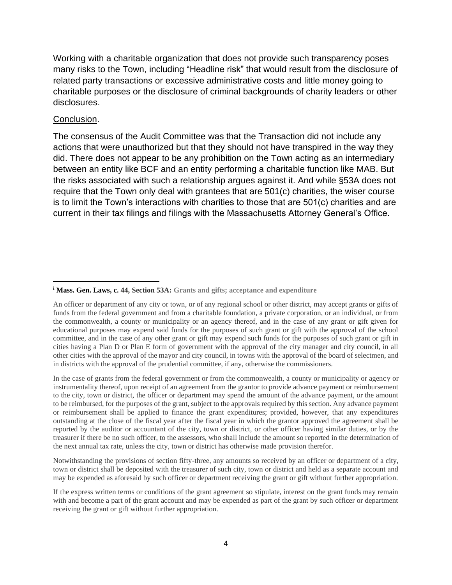Working with a charitable organization that does not provide such transparency poses many risks to the Town, including "Headline risk" that would result from the disclosure of related party transactions or excessive administrative costs and little money going to charitable purposes or the disclosure of criminal backgrounds of charity leaders or other disclosures.

#### Conclusion.

The consensus of the Audit Committee was that the Transaction did not include any actions that were unauthorized but that they should not have transpired in the way they did. There does not appear to be any prohibition on the Town acting as an intermediary between an entity like BCF and an entity performing a charitable function like MAB. But the risks associated with such a relationship argues against it. And while §53A does not require that the Town only deal with grantees that are 501(c) charities, the wiser course is to limit the Town's interactions with charities to those that are 501(c) charities and are current in their tax filings and filings with the Massachusetts Attorney General's Office.

In the case of grants from the federal government or from the commonwealth, a county or municipality or agency or instrumentality thereof, upon receipt of an agreement from the grantor to provide advance payment or reimbursement to the city, town or district, the officer or department may spend the amount of the advance payment, or the amount to be reimbursed, for the purposes of the grant, subject to the approvals required by this section. Any advance payment or reimbursement shall be applied to finance the grant expenditures; provided, however, that any expenditures outstanding at the close of the fiscal year after the fiscal year in which the grantor approved the agreement shall be reported by the auditor or accountant of the city, town or district, or other officer having similar duties, or by the treasurer if there be no such officer, to the assessors, who shall include the amount so reported in the determination of the next annual tax rate, unless the city, town or district has otherwise made provision therefor.

Notwithstanding the provisions of section fifty-three, any amounts so received by an officer or department of a city, town or district shall be deposited with the treasurer of such city, town or district and held as a separate account and may be expended as aforesaid by such officer or department receiving the grant or gift without further appropriation.

If the express written terms or conditions of the grant agreement so stipulate, interest on the grant funds may remain with and become a part of the grant account and may be expended as part of the grant by such officer or department receiving the grant or gift without further appropriation.

**<sup>i</sup> Mass. Gen. Laws, c. 44, Section 53A: Grants and gifts; acceptance and expenditure**

An officer or department of any city or town, or of any regional school or other district, may accept grants or gifts of funds from the federal government and from a charitable foundation, a private corporation, or an individual, or from the commonwealth, a county or municipality or an agency thereof, and in the case of any grant or gift given for educational purposes may expend said funds for the purposes of such grant or gift with the approval of the school committee, and in the case of any other grant or gift may expend such funds for the purposes of such grant or gift in cities having a Plan D or Plan E form of government with the approval of the city manager and city council, in all other cities with the approval of the mayor and city council, in towns with the approval of the board of selectmen, and in districts with the approval of the prudential committee, if any, otherwise the commissioners.